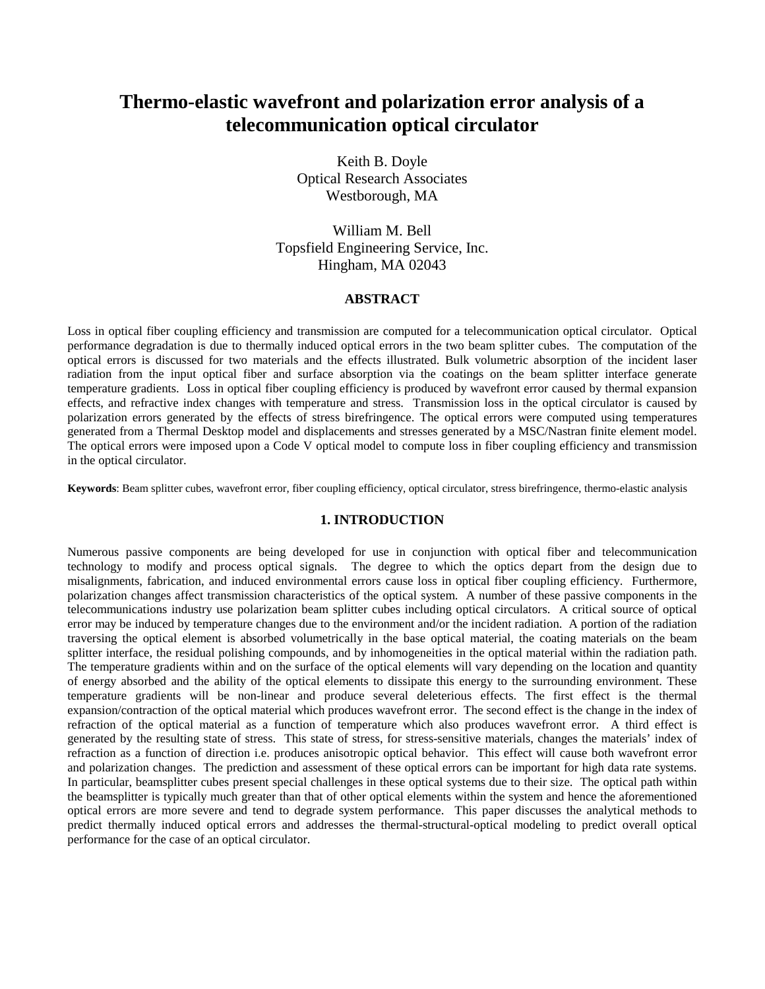# **Thermo-elastic wavefront and polarization error analysis of a telecommunication optical circulator**

Keith B. Doyle Optical Research Associates Westborough, MA

William M. Bell Topsfield Engineering Service, Inc. Hingham, MA 02043

### **ABSTRACT**

Loss in optical fiber coupling efficiency and transmission are computed for a telecommunication optical circulator. Optical performance degradation is due to thermally induced optical errors in the two beam splitter cubes. The computation of the optical errors is discussed for two materials and the effects illustrated. Bulk volumetric absorption of the incident laser radiation from the input optical fiber and surface absorption via the coatings on the beam splitter interface generate temperature gradients. Loss in optical fiber coupling efficiency is produced by wavefront error caused by thermal expansion effects, and refractive index changes with temperature and stress. Transmission loss in the optical circulator is caused by polarization errors generated by the effects of stress birefringence. The optical errors were computed using temperatures generated from a Thermal Desktop model and displacements and stresses generated by a MSC/Nastran finite element model. The optical errors were imposed upon a Code V optical model to compute loss in fiber coupling efficiency and transmission in the optical circulator.

**Keywords**: Beam splitter cubes, wavefront error, fiber coupling efficiency, optical circulator, stress birefringence, thermo-elastic analysis

#### **1. INTRODUCTION**

Numerous passive components are being developed for use in conjunction with optical fiber and telecommunication technology to modify and process optical signals. The degree to which the optics depart from the design due to misalignments, fabrication, and induced environmental errors cause loss in optical fiber coupling efficiency. Furthermore, polarization changes affect transmission characteristics of the optical system. A number of these passive components in the telecommunications industry use polarization beam splitter cubes including optical circulators. A critical source of optical error may be induced by temperature changes due to the environment and/or the incident radiation. A portion of the radiation traversing the optical element is absorbed volumetrically in the base optical material, the coating materials on the beam splitter interface, the residual polishing compounds, and by inhomogeneities in the optical material within the radiation path. The temperature gradients within and on the surface of the optical elements will vary depending on the location and quantity of energy absorbed and the ability of the optical elements to dissipate this energy to the surrounding environment. These temperature gradients will be non-linear and produce several deleterious effects. The first effect is the thermal expansion/contraction of the optical material which produces wavefront error. The second effect is the change in the index of refraction of the optical material as a function of temperature which also produces wavefront error. A third effect is generated by the resulting state of stress. This state of stress, for stress-sensitive materials, changes the materials' index of refraction as a function of direction i.e. produces anisotropic optical behavior. This effect will cause both wavefront error and polarization changes. The prediction and assessment of these optical errors can be important for high data rate systems. In particular, beamsplitter cubes present special challenges in these optical systems due to their size. The optical path within the beamsplitter is typically much greater than that of other optical elements within the system and hence the aforementioned optical errors are more severe and tend to degrade system performance. This paper discusses the analytical methods to predict thermally induced optical errors and addresses the thermal-structural-optical modeling to predict overall optical performance for the case of an optical circulator.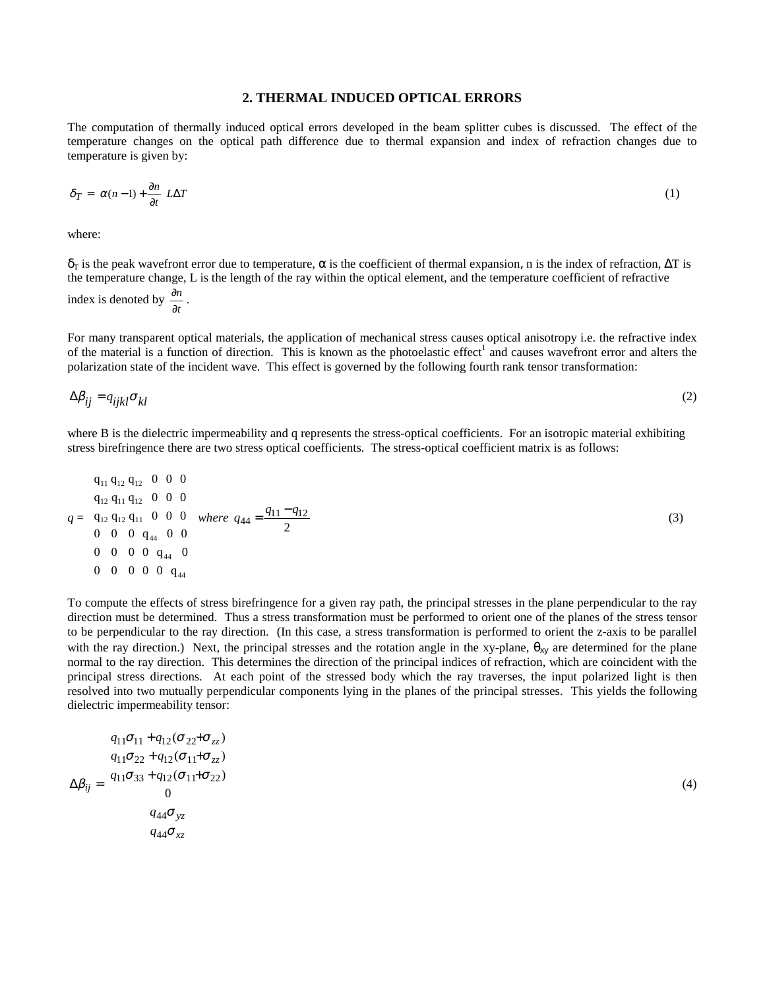#### **2. THERMAL INDUCED OPTICAL ERRORS**

The computation of thermally induced optical errors developed in the beam splitter cubes is discussed. The effect of the temperature changes on the optical path difference due to thermal expansion and index of refraction changes due to temperature is given by:

$$
\delta_T = \left(\alpha(n-1) + \frac{\partial n}{\partial t}\right) L \Delta T \tag{1}
$$

where:

 $\delta_T$  is the peak wavefront error due to temperature,  $\alpha$  is the coefficient of thermal expansion, n is the index of refraction,  $\Delta T$  is the temperature change, L is the length of the ray within the optical element, and the temperature coefficient of refractive index is denoted by  $\frac{\partial n}{\partial t}$ *n*  $rac{\partial n}{\partial t}$ .

For many transparent optical materials, the application of mechanical stress causes optical anisotropy i.e. the refractive index of the material is a function of direction. This is known as the photoelastic effect<sup>1</sup> and causes wavefront error and alters the polarization state of the incident wave. This effect is governed by the following fourth rank tensor transformation:

$$
\Delta \beta_{ij} = q_{ijkl} \sigma_{kl} \tag{2}
$$

where B is the dielectric impermeability and q represents the stress-optical coefficients. For an isotropic material exhibiting stress birefringence there are two stress optical coefficients. The stress-optical coefficient matrix is as follows:

$$
q = \begin{bmatrix} q_{11} q_{12} q_{12} & 0 & 0 & 0 \\ q_{12} q_{11} q_{12} & 0 & 0 & 0 \\ q_{12} q_{12} q_{11} & 0 & 0 & 0 \\ 0 & 0 & 0 & q_{44} & 0 \\ 0 & 0 & 0 & q_{44} & 0 \\ 0 & 0 & 0 & 0 & q_{44} \end{bmatrix} \quad \text{where} \quad q_{44} = \frac{q_{11} - q_{12}}{2} \tag{3}
$$

To compute the effects of stress birefringence for a given ray path, the principal stresses in the plane perpendicular to the ray direction must be determined. Thus a stress transformation must be performed to orient one of the planes of the stress tensor to be perpendicular to the ray direction. (In this case, a stress transformation is performed to orient the z-axis to be parallel with the ray direction.) Next, the principal stresses and the rotation angle in the xy-plane,  $\theta_{xy}$  are determined for the plane normal to the ray direction. This determines the direction of the principal indices of refraction, which are coincident with the principal stress directions. At each point of the stressed body which the ray traverses, the input polarized light is then resolved into two mutually perpendicular components lying in the planes of the principal stresses. This yields the following dielectric impermeability tensor:

$$
\Delta \beta_{ij} = \begin{bmatrix} q_{11} \sigma_{11} + q_{12} (\sigma_{22} + \sigma_{zz}) \\ q_{11} \sigma_{22} + q_{12} (\sigma_{11} + \sigma_{zz}) \\ q_{11} \sigma_{33} + q_{12} (\sigma_{11} + \sigma_{22}) \\ 0 \\ q_{44} \sigma_{yz} \\ q_{44} \sigma_{xz} \end{bmatrix}
$$

(4)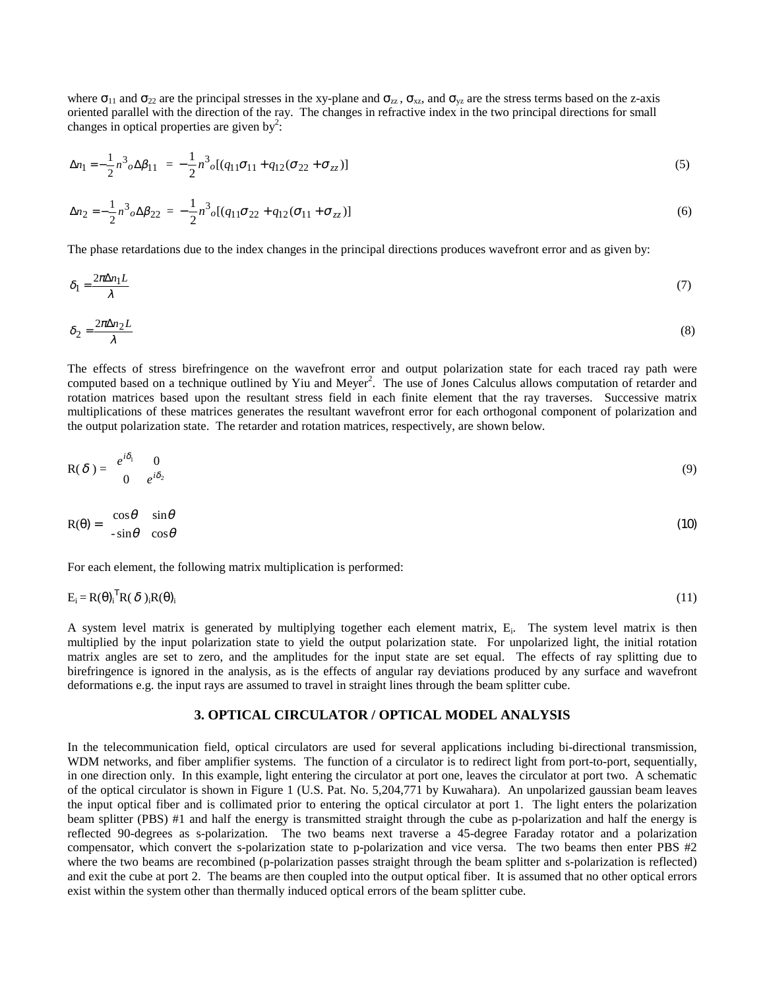where  $\sigma_{11}$  and  $\sigma_{22}$  are the principal stresses in the xy-plane and  $\sigma_{zz}$ ,  $\sigma_{xz}$ , and  $\sigma_{yz}$  are the stress terms based on the z-axis oriented parallel with the direction of the ray. The changes in refractive index in the two principal directions for small changes in optical properties are given by<sup>2</sup>:

$$
\Delta n_1 = -\frac{1}{2} n^3{}_o \Delta \beta_{11} = -\frac{1}{2} n^3{}_o [(q_{11}\sigma_{11} + q_{12}(\sigma_{22} + \sigma_{zz}))]
$$
\n(5)

$$
\Delta n_2 = -\frac{1}{2} n^3 \delta \Delta \beta_{22} = -\frac{1}{2} n^3 \delta [ (q_{11}\sigma_{22} + q_{12}(\sigma_{11} + \sigma_{zz})) ]
$$
 (6)

The phase retardations due to the index changes in the principal directions produces wavefront error and as given by:

$$
\delta_1 = \frac{2\pi\Delta n_1 L}{\lambda} \tag{7}
$$

$$
\delta_2 = \frac{2\pi\Delta n_2 L}{\lambda} \tag{8}
$$

The effects of stress birefringence on the wavefront error and output polarization state for each traced ray path were computed based on a technique outlined by Yiu and Meyer<sup>2</sup>. The use of Jones Calculus allows computation of retarder and rotation matrices based upon the resultant stress field in each finite element that the ray traverses. Successive matrix multiplications of these matrices generates the resultant wavefront error for each orthogonal component of polarization and the output polarization state. The retarder and rotation matrices, respectively, are shown below.

$$
R(\delta) = \begin{bmatrix} e^{i\delta_1} & 0 \\ 0 & e^{i\delta_2} \end{bmatrix}
$$
 (9)

$$
R(\theta) = \begin{bmatrix} \cos \theta & \sin \theta \\ -\sin \theta & \cos \theta \end{bmatrix}
$$
 (10)

For each element, the following matrix multiplication is performed:

$$
E_i = R(\theta)_i^T R(\delta)_i R(\theta)_i \tag{11}
$$

A system level matrix is generated by multiplying together each element matrix,  $E_i$ . The system level matrix is then multiplied by the input polarization state to yield the output polarization state. For unpolarized light, the initial rotation matrix angles are set to zero, and the amplitudes for the input state are set equal. The effects of ray splitting due to birefringence is ignored in the analysis, as is the effects of angular ray deviations produced by any surface and wavefront deformations e.g. the input rays are assumed to travel in straight lines through the beam splitter cube.

#### **3. OPTICAL CIRCULATOR / OPTICAL MODEL ANALYSIS**

In the telecommunication field, optical circulators are used for several applications including bi-directional transmission, WDM networks, and fiber amplifier systems. The function of a circulator is to redirect light from port-to-port, sequentially, in one direction only. In this example, light entering the circulator at port one, leaves the circulator at port two. A schematic of the optical circulator is shown in Figure 1 (U.S. Pat. No. 5,204,771 by Kuwahara). An unpolarized gaussian beam leaves the input optical fiber and is collimated prior to entering the optical circulator at port 1. The light enters the polarization beam splitter (PBS) #1 and half the energy is transmitted straight through the cube as p-polarization and half the energy is reflected 90-degrees as s-polarization. The two beams next traverse a 45-degree Faraday rotator and a polarization compensator, which convert the s-polarization state to p-polarization and vice versa. The two beams then enter PBS #2 where the two beams are recombined (p-polarization passes straight through the beam splitter and s-polarization is reflected) and exit the cube at port 2. The beams are then coupled into the output optical fiber. It is assumed that no other optical errors exist within the system other than thermally induced optical errors of the beam splitter cube.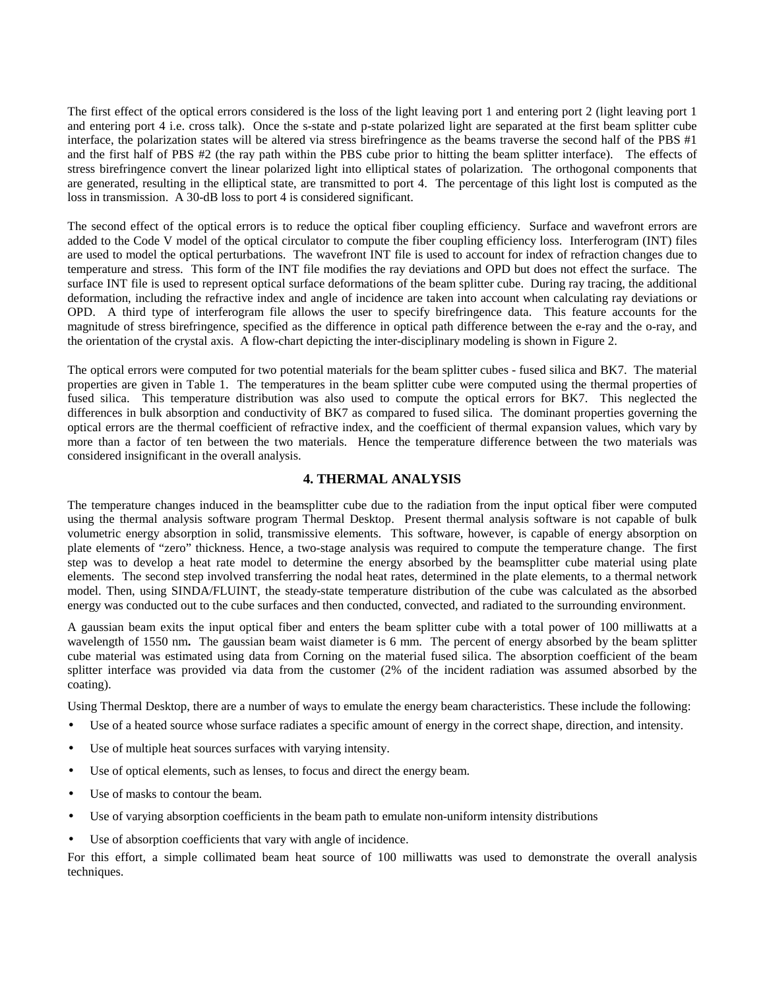The first effect of the optical errors considered is the loss of the light leaving port 1 and entering port 2 (light leaving port 1 and entering port 4 i.e. cross talk). Once the s-state and p-state polarized light are separated at the first beam splitter cube interface, the polarization states will be altered via stress birefringence as the beams traverse the second half of the PBS #1 and the first half of PBS #2 (the ray path within the PBS cube prior to hitting the beam splitter interface). The effects of stress birefringence convert the linear polarized light into elliptical states of polarization. The orthogonal components that are generated, resulting in the elliptical state, are transmitted to port 4. The percentage of this light lost is computed as the loss in transmission. A 30-dB loss to port 4 is considered significant.

The second effect of the optical errors is to reduce the optical fiber coupling efficiency. Surface and wavefront errors are added to the Code V model of the optical circulator to compute the fiber coupling efficiency loss. Interferogram (INT) files are used to model the optical perturbations. The wavefront INT file is used to account for index of refraction changes due to temperature and stress. This form of the INT file modifies the ray deviations and OPD but does not effect the surface. The surface INT file is used to represent optical surface deformations of the beam splitter cube. During ray tracing, the additional deformation, including the refractive index and angle of incidence are taken into account when calculating ray deviations or OPD. A third type of interferogram file allows the user to specify birefringence data. This feature accounts for the magnitude of stress birefringence, specified as the difference in optical path difference between the e-ray and the o-ray, and the orientation of the crystal axis. A flow-chart depicting the inter-disciplinary modeling is shown in Figure 2.

The optical errors were computed for two potential materials for the beam splitter cubes - fused silica and BK7. The material properties are given in Table 1. The temperatures in the beam splitter cube were computed using the thermal properties of fused silica. This temperature distribution was also used to compute the optical errors for BK7. This neglected the differences in bulk absorption and conductivity of BK7 as compared to fused silica. The dominant properties governing the optical errors are the thermal coefficient of refractive index, and the coefficient of thermal expansion values, which vary by more than a factor of ten between the two materials. Hence the temperature difference between the two materials was considered insignificant in the overall analysis.

### **4. THERMAL ANALYSIS**

The temperature changes induced in the beamsplitter cube due to the radiation from the input optical fiber were computed using the thermal analysis software program Thermal Desktop. Present thermal analysis software is not capable of bulk volumetric energy absorption in solid, transmissive elements. This software, however, is capable of energy absorption on plate elements of "zero" thickness. Hence, a two-stage analysis was required to compute the temperature change. The first step was to develop a heat rate model to determine the energy absorbed by the beamsplitter cube material using plate elements. The second step involved transferring the nodal heat rates, determined in the plate elements, to a thermal network model. Then, using SINDA/FLUINT, the steady-state temperature distribution of the cube was calculated as the absorbed energy was conducted out to the cube surfaces and then conducted, convected, and radiated to the surrounding environment.

A gaussian beam exits the input optical fiber and enters the beam splitter cube with a total power of 100 milliwatts at a wavelength of 1550 nm. The gaussian beam waist diameter is 6 mm. The percent of energy absorbed by the beam splitter cube material was estimated using data from Corning on the material fused silica. The absorption coefficient of the beam splitter interface was provided via data from the customer (2% of the incident radiation was assumed absorbed by the coating).

Using Thermal Desktop, there are a number of ways to emulate the energy beam characteristics. These include the following:

- Use of a heated source whose surface radiates a specific amount of energy in the correct shape, direction, and intensity.
- Use of multiple heat sources surfaces with varying intensity.
- Use of optical elements, such as lenses, to focus and direct the energy beam.
- Use of masks to contour the beam.
- Use of varying absorption coefficients in the beam path to emulate non-uniform intensity distributions
- Use of absorption coefficients that vary with angle of incidence.

For this effort, a simple collimated beam heat source of 100 milliwatts was used to demonstrate the overall analysis techniques.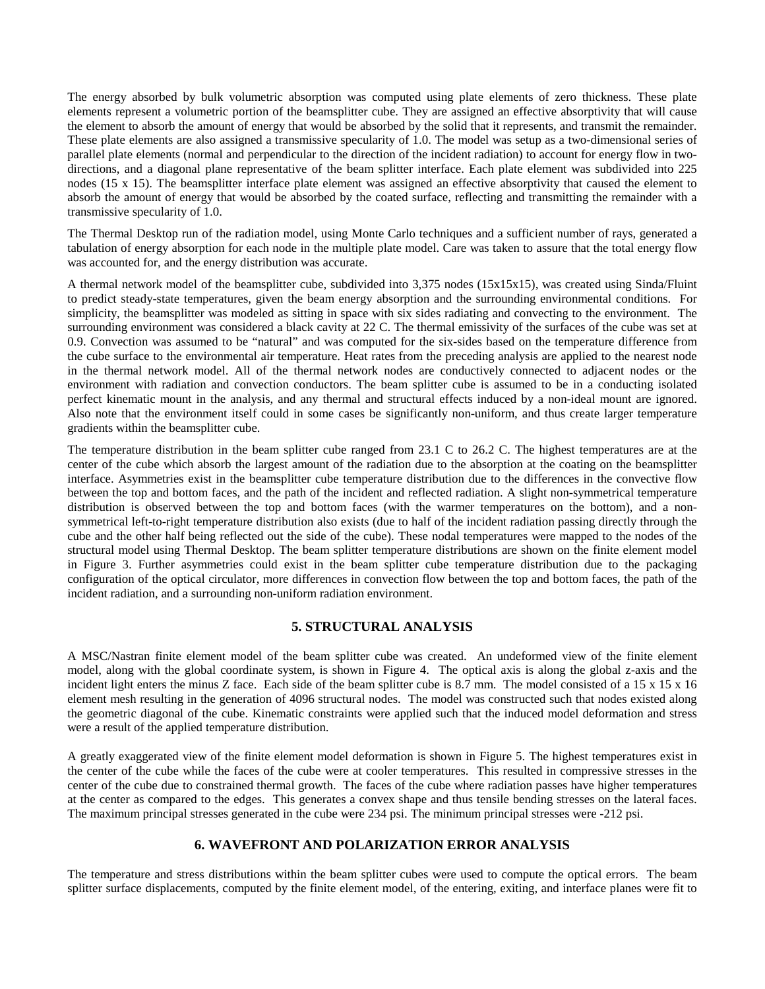The energy absorbed by bulk volumetric absorption was computed using plate elements of zero thickness. These plate elements represent a volumetric portion of the beamsplitter cube. They are assigned an effective absorptivity that will cause the element to absorb the amount of energy that would be absorbed by the solid that it represents, and transmit the remainder. These plate elements are also assigned a transmissive specularity of 1.0. The model was setup as a two-dimensional series of parallel plate elements (normal and perpendicular to the direction of the incident radiation) to account for energy flow in twodirections, and a diagonal plane representative of the beam splitter interface. Each plate element was subdivided into 225 nodes (15 x 15). The beamsplitter interface plate element was assigned an effective absorptivity that caused the element to absorb the amount of energy that would be absorbed by the coated surface, reflecting and transmitting the remainder with a transmissive specularity of 1.0.

The Thermal Desktop run of the radiation model, using Monte Carlo techniques and a sufficient number of rays, generated a tabulation of energy absorption for each node in the multiple plate model. Care was taken to assure that the total energy flow was accounted for, and the energy distribution was accurate.

A thermal network model of the beamsplitter cube, subdivided into 3,375 nodes (15x15x15), was created using Sinda/Fluint to predict steady-state temperatures, given the beam energy absorption and the surrounding environmental conditions. For simplicity, the beamsplitter was modeled as sitting in space with six sides radiating and convecting to the environment. The surrounding environment was considered a black cavity at 22 C. The thermal emissivity of the surfaces of the cube was set at 0.9. Convection was assumed to be "natural" and was computed for the six-sides based on the temperature difference from the cube surface to the environmental air temperature. Heat rates from the preceding analysis are applied to the nearest node in the thermal network model. All of the thermal network nodes are conductively connected to adjacent nodes or the environment with radiation and convection conductors. The beam splitter cube is assumed to be in a conducting isolated perfect kinematic mount in the analysis, and any thermal and structural effects induced by a non-ideal mount are ignored. Also note that the environment itself could in some cases be significantly non-uniform, and thus create larger temperature gradients within the beamsplitter cube.

The temperature distribution in the beam splitter cube ranged from 23.1 C to 26.2 C. The highest temperatures are at the center of the cube which absorb the largest amount of the radiation due to the absorption at the coating on the beamsplitter interface. Asymmetries exist in the beamsplitter cube temperature distribution due to the differences in the convective flow between the top and bottom faces, and the path of the incident and reflected radiation. A slight non-symmetrical temperature distribution is observed between the top and bottom faces (with the warmer temperatures on the bottom), and a nonsymmetrical left-to-right temperature distribution also exists (due to half of the incident radiation passing directly through the cube and the other half being reflected out the side of the cube). These nodal temperatures were mapped to the nodes of the structural model using Thermal Desktop. The beam splitter temperature distributions are shown on the finite element model in Figure 3. Further asymmetries could exist in the beam splitter cube temperature distribution due to the packaging configuration of the optical circulator, more differences in convection flow between the top and bottom faces, the path of the incident radiation, and a surrounding non-uniform radiation environment.

#### **5. STRUCTURAL ANALYSIS**

A MSC/Nastran finite element model of the beam splitter cube was created. An undeformed view of the finite element model, along with the global coordinate system, is shown in Figure 4. The optical axis is along the global z-axis and the incident light enters the minus Z face. Each side of the beam splitter cube is 8.7 mm. The model consisted of a  $15 \times 15 \times 16$ element mesh resulting in the generation of 4096 structural nodes. The model was constructed such that nodes existed along the geometric diagonal of the cube. Kinematic constraints were applied such that the induced model deformation and stress were a result of the applied temperature distribution.

A greatly exaggerated view of the finite element model deformation is shown in Figure 5. The highest temperatures exist in the center of the cube while the faces of the cube were at cooler temperatures. This resulted in compressive stresses in the center of the cube due to constrained thermal growth. The faces of the cube where radiation passes have higher temperatures at the center as compared to the edges. This generates a convex shape and thus tensile bending stresses on the lateral faces. The maximum principal stresses generated in the cube were 234 psi. The minimum principal stresses were -212 psi.

## **6. WAVEFRONT AND POLARIZATION ERROR ANALYSIS**

The temperature and stress distributions within the beam splitter cubes were used to compute the optical errors. The beam splitter surface displacements, computed by the finite element model, of the entering, exiting, and interface planes were fit to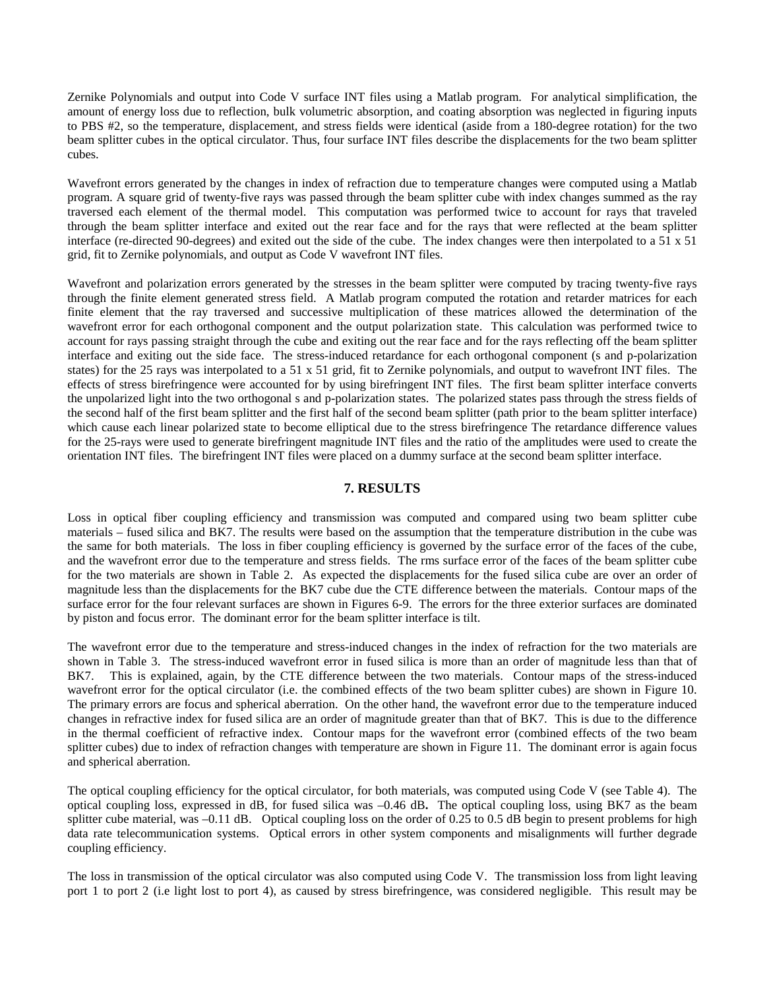Zernike Polynomials and output into Code V surface INT files using a Matlab program. For analytical simplification, the amount of energy loss due to reflection, bulk volumetric absorption, and coating absorption was neglected in figuring inputs to PBS #2, so the temperature, displacement, and stress fields were identical (aside from a 180-degree rotation) for the two beam splitter cubes in the optical circulator. Thus, four surface INT files describe the displacements for the two beam splitter cubes.

Wavefront errors generated by the changes in index of refraction due to temperature changes were computed using a Matlab program. A square grid of twenty-five rays was passed through the beam splitter cube with index changes summed as the ray traversed each element of the thermal model. This computation was performed twice to account for rays that traveled through the beam splitter interface and exited out the rear face and for the rays that were reflected at the beam splitter interface (re-directed 90-degrees) and exited out the side of the cube. The index changes were then interpolated to a 51 x 51 grid, fit to Zernike polynomials, and output as Code V wavefront INT files.

Wavefront and polarization errors generated by the stresses in the beam splitter were computed by tracing twenty-five rays through the finite element generated stress field. A Matlab program computed the rotation and retarder matrices for each finite element that the ray traversed and successive multiplication of these matrices allowed the determination of the wavefront error for each orthogonal component and the output polarization state. This calculation was performed twice to account for rays passing straight through the cube and exiting out the rear face and for the rays reflecting off the beam splitter interface and exiting out the side face. The stress-induced retardance for each orthogonal component (s and p-polarization states) for the 25 rays was interpolated to a 51 x 51 grid, fit to Zernike polynomials, and output to wavefront INT files. The effects of stress birefringence were accounted for by using birefringent INT files. The first beam splitter interface converts the unpolarized light into the two orthogonal s and p-polarization states. The polarized states pass through the stress fields of the second half of the first beam splitter and the first half of the second beam splitter (path prior to the beam splitter interface) which cause each linear polarized state to become elliptical due to the stress birefringence The retardance difference values for the 25-rays were used to generate birefringent magnitude INT files and the ratio of the amplitudes were used to create the orientation INT files. The birefringent INT files were placed on a dummy surface at the second beam splitter interface.

## **7. RESULTS**

Loss in optical fiber coupling efficiency and transmission was computed and compared using two beam splitter cube materials – fused silica and BK7. The results were based on the assumption that the temperature distribution in the cube was the same for both materials. The loss in fiber coupling efficiency is governed by the surface error of the faces of the cube, and the wavefront error due to the temperature and stress fields. The rms surface error of the faces of the beam splitter cube for the two materials are shown in Table 2. As expected the displacements for the fused silica cube are over an order of magnitude less than the displacements for the BK7 cube due the CTE difference between the materials. Contour maps of the surface error for the four relevant surfaces are shown in Figures 6-9. The errors for the three exterior surfaces are dominated by piston and focus error. The dominant error for the beam splitter interface is tilt.

The wavefront error due to the temperature and stress-induced changes in the index of refraction for the two materials are shown in Table 3. The stress-induced wavefront error in fused silica is more than an order of magnitude less than that of BK7. This is explained, again, by the CTE difference between the two materials. Contour maps of the stress-induced wavefront error for the optical circulator (i.e. the combined effects of the two beam splitter cubes) are shown in Figure 10. The primary errors are focus and spherical aberration. On the other hand, the wavefront error due to the temperature induced changes in refractive index for fused silica are an order of magnitude greater than that of BK7. This is due to the difference in the thermal coefficient of refractive index. Contour maps for the wavefront error (combined effects of the two beam splitter cubes) due to index of refraction changes with temperature are shown in Figure 11. The dominant error is again focus and spherical aberration.

The optical coupling efficiency for the optical circulator, for both materials, was computed using Code V (see Table 4). The optical coupling loss, expressed in dB, for fused silica was –0.46 dB**.** The optical coupling loss, using BK7 as the beam splitter cube material, was -0.11 dB. Optical coupling loss on the order of 0.25 to 0.5 dB begin to present problems for high data rate telecommunication systems. Optical errors in other system components and misalignments will further degrade coupling efficiency.

The loss in transmission of the optical circulator was also computed using Code V. The transmission loss from light leaving port 1 to port 2 (i.e light lost to port 4), as caused by stress birefringence, was considered negligible. This result may be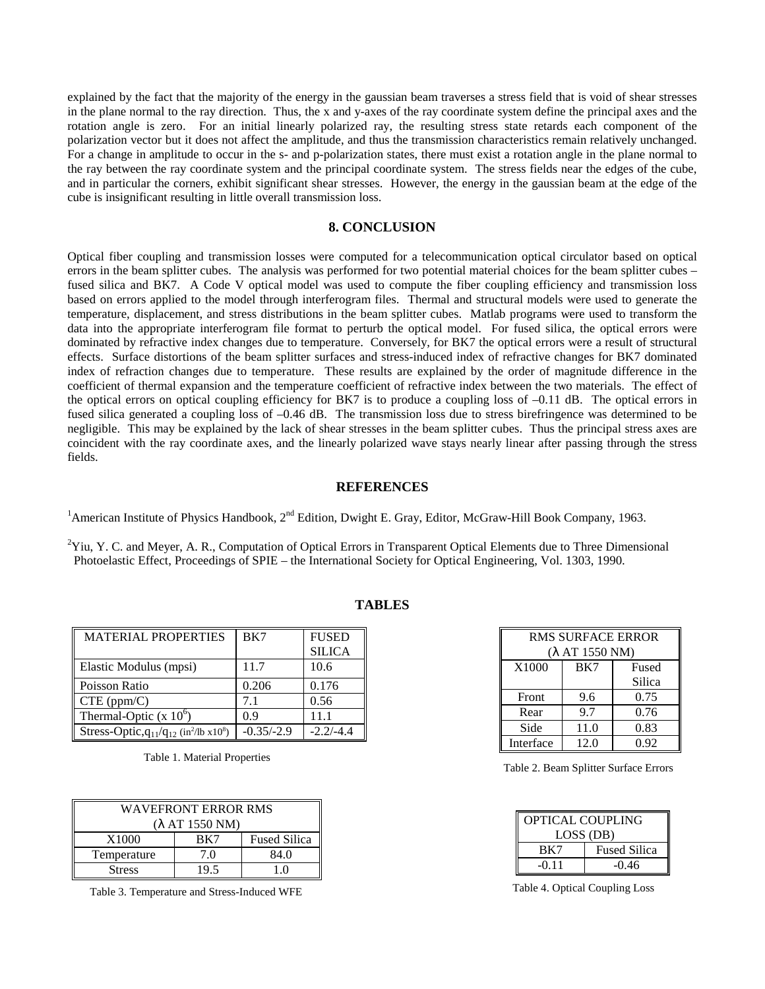explained by the fact that the majority of the energy in the gaussian beam traverses a stress field that is void of shear stresses in the plane normal to the ray direction. Thus, the x and y-axes of the ray coordinate system define the principal axes and the rotation angle is zero. For an initial linearly polarized ray, the resulting stress state retards each component of the polarization vector but it does not affect the amplitude, and thus the transmission characteristics remain relatively unchanged. For a change in amplitude to occur in the s- and p-polarization states, there must exist a rotation angle in the plane normal to the ray between the ray coordinate system and the principal coordinate system. The stress fields near the edges of the cube, and in particular the corners, exhibit significant shear stresses. However, the energy in the gaussian beam at the edge of the cube is insignificant resulting in little overall transmission loss.

#### **8. CONCLUSION**

Optical fiber coupling and transmission losses were computed for a telecommunication optical circulator based on optical errors in the beam splitter cubes. The analysis was performed for two potential material choices for the beam splitter cubes – fused silica and BK7. A Code V optical model was used to compute the fiber coupling efficiency and transmission loss based on errors applied to the model through interferogram files. Thermal and structural models were used to generate the temperature, displacement, and stress distributions in the beam splitter cubes. Matlab programs were used to transform the data into the appropriate interferogram file format to perturb the optical model. For fused silica, the optical errors were dominated by refractive index changes due to temperature. Conversely, for BK7 the optical errors were a result of structural effects. Surface distortions of the beam splitter surfaces and stress-induced index of refractive changes for BK7 dominated index of refraction changes due to temperature. These results are explained by the order of magnitude difference in the coefficient of thermal expansion and the temperature coefficient of refractive index between the two materials. The effect of the optical errors on optical coupling efficiency for BK7 is to produce a coupling loss of –0.11 dB. The optical errors in fused silica generated a coupling loss of –0.46 dB. The transmission loss due to stress birefringence was determined to be negligible. This may be explained by the lack of shear stresses in the beam splitter cubes. Thus the principal stress axes are coincident with the ray coordinate axes, and the linearly polarized wave stays nearly linear after passing through the stress fields.

#### **REFERENCES**

<sup>1</sup> American Institute of Physics Handbook,  $2^{nd}$  Edition, Dwight E. Gray, Editor, McGraw-Hill Book Company, 1963.

 $2$ Yiu, Y. C. and Meyer, A. R., Computation of Optical Errors in Transparent Optical Elements due to Three Dimensional Photoelastic Effect, Proceedings of SPIE – the International Society for Optical Engineering, Vol. 1303, 1990.

| <b>MATERIAL PROPERTIES</b>                                            | BK7          | <b>FUSED</b>  |
|-----------------------------------------------------------------------|--------------|---------------|
|                                                                       |              | <b>SILICA</b> |
| Elastic Modulus (mpsi)                                                | 11.7         | 10.6          |
| Poisson Ratio                                                         | 0.206        | 0.176         |
| $CTE$ (ppm/C)                                                         | 7.1          | 0.56          |
| Thermal-Optic $(x 10^6)$                                              | 09           | 11.1          |
| Stress-Optic, $q_{11}/q_{12}$ (in <sup>2</sup> /lb x10 <sup>8</sup> ) | $-0.35/-2.9$ | $-2.2/-4.4$   |

| <b>RMS SURFACE ERROR</b> |      |        |  |
|--------------------------|------|--------|--|
| $(\lambda$ AT 1550 NM)   |      |        |  |
| X1000                    | BK7  | Fused  |  |
|                          |      | Silica |  |
| Front                    | 9.6  | 0.75   |  |
| Rear                     | 9.7  | 0.76   |  |
| Side                     | 11.0 | 0.83   |  |
| Interface                | 12.0 | 0.92   |  |

Table 2. Beam Splitter Surface Errors

| OPTICAL COUPLING |              |  |
|------------------|--------------|--|
| LOSS (DB)        |              |  |
| BK7              | Fused Silica |  |
| $-0.11$          | $-0.46$      |  |

Stress 19.5 1.0 Table 3. Temperature and Stress-Induced WFE

WAVEFRONT ERROR RMS (λ AT 1550 NM) X1000 BK7 Fused Silica Temperature 7.0 84.0

Table 1. Material Properties

Table 4. Optical Coupling Loss

| <b>TABLES</b> |
|---------------|
|---------------|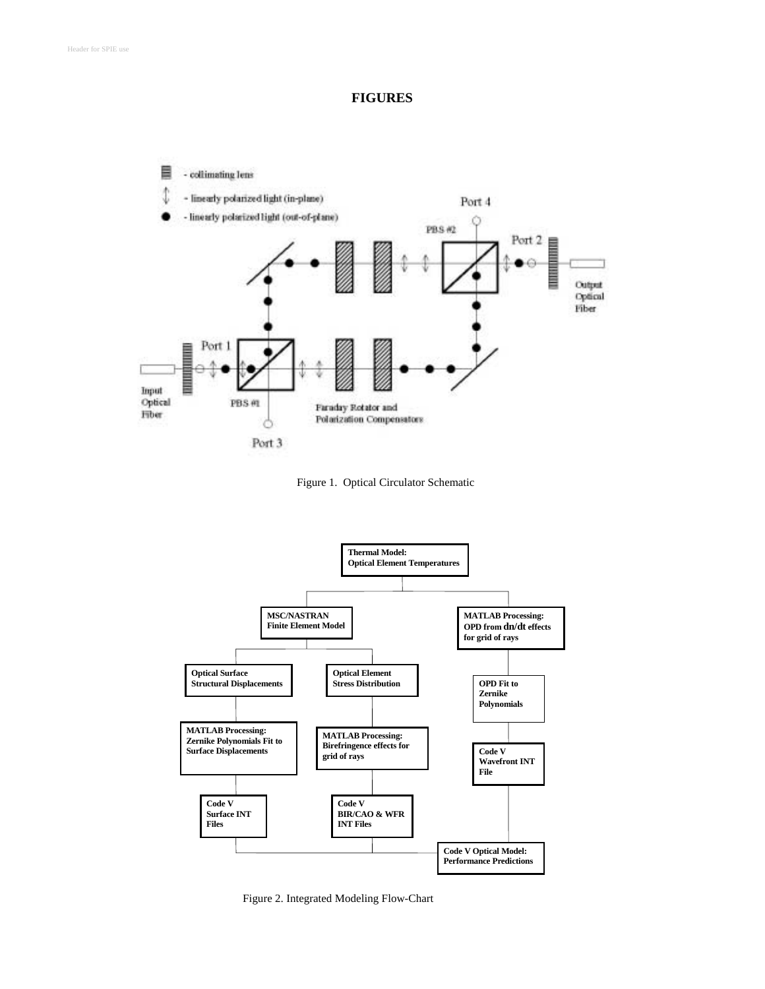## **FIGURES**



Figure 1. Optical Circulator Schematic



Figure 2. Integrated Modeling Flow-Chart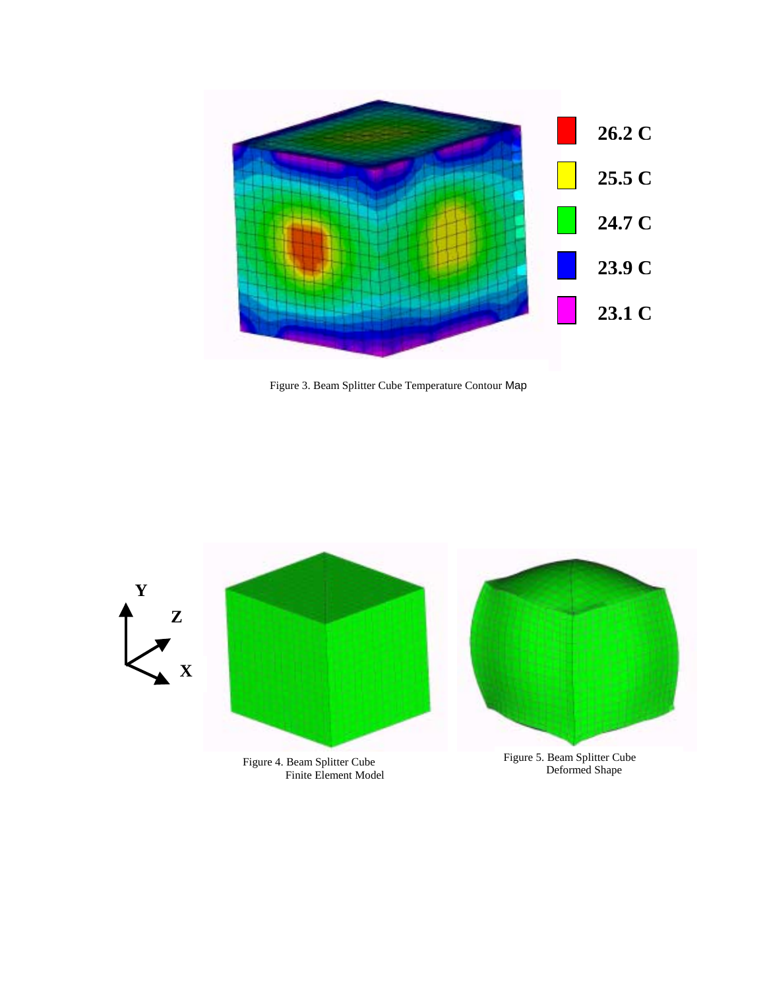

Figure 3. Beam Splitter Cube Temperature Contour Map